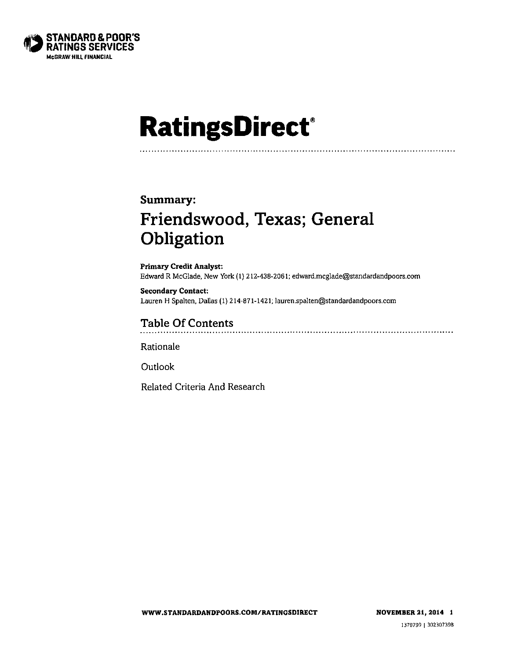

# **RatingsDirect**

### Summary:

# **Friendswood, Texas; General Obligation**

**Primary Credit Analyst:** Edward R McGlade, New York (1) 212-438-2061; edward.mcglade@standardandpoors.com

**Secondar y Contact:**   $L$ auren H Spalten, Dallas (1) 214-871-1421, [lauren.spalten@standardandpoors.com](mailto:lauren.spalten@standardandpoors.com)

# **Table Of Contents**

<u> 1986 - Johann Stoff, Amerikaans beskriuwer op de Frans beskriuwer op de Frans beskriuwer op de Frans beskriuw</u>

Rationale

**Outlook** 

Related Criteria And Research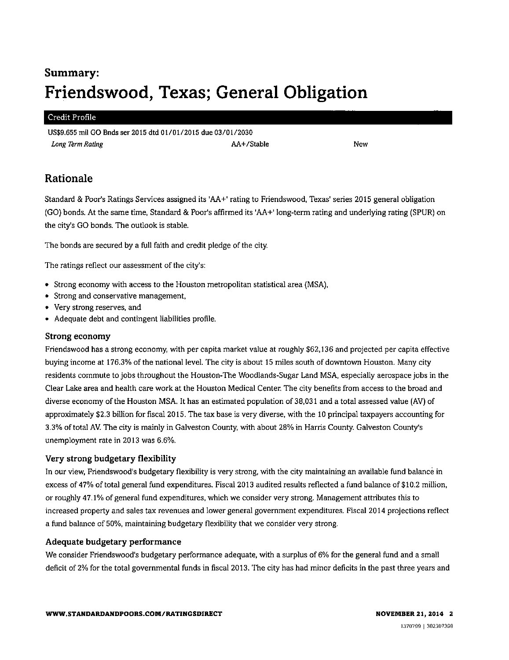# **Summary : Friendswood, Texas; General Obligation**

#### Credit Profile

US\$9,655 mil GO Bnds ser 2015 dtd 01/01/2015 due 03/01/2030 *Long Term Rating* New **AA+/Stable** AA+/Stable New **New** 

### **Rationale**

Standard & Poor's Ratings Services assigned its 'AA+' rating to Friendswood, Texas' series 2015 general obligation (GO) bonds. At the same time, Standard & Poor's affirmed its 'AA+' long-term rating and underlying rating (SPUR) on the city's GO bonds. The outlook is stable.

The bonds are secured by a full faith and credit pledge of the city.

The ratings reflect our assessment of the city's:

- Strong economy with access to the Houston metropolitan statistical area (MSA),
- Strong and conservative management,
- Very strong reserves, and
- Adequate debt and contingent liabilities profile.

#### **Strong economy**

Friendswood has a strong economy, with per capita market value at roughly \$62,136 and projected per capita effective buying income at 176.3% of the national level. The city is about 15 miles south of downtown Houston. Many city residents commute to jobs throughout the Houston-The Woodlands-Sugar Land MSA, especially aerospace jobs in the Clear Lake area and health care work at the Houston Medical Center. The city benefits from access to the broad and diverse economy of the Houston MSA. It has an estimated population of 38,031 and a total assessed value (AV) of approximately \$2.3 billion for fiscal 2015. The tax base is very diverse, with the 10 principal taxpayers accounting for 3.3% of total AV. The city is mainly in Galveston County, with about 28% in Harris County. Galveston County's unemployment rate in 2013 was 6.6%.

#### **Very strong budgetary flexibility**

In our view, Friendswood's budgetary flexibility is very strong, with the city maintaining an available fund balance in excess of 47% of total general fund expenditures. Fiscal 2013 audited results reflected a fund balance of \$10.2 million, or roughly 47.1% of general fund expenditures, which we consider very strong. Management attributes this to increased property and sales tax revenues and lower general government expenditures. Fiscal 2014 projections reflect a fund balance of 50%, maintaining budgetary flexibility that we consider very strong.

#### **Adequate budgetary performance**

We consider Friendswood's budgetary performance adequate, with a surplus of 6% for the general fund and a small deficit of 2% for the total governmental funds in fiscal 2013. The city has had minor deficits in the past three years and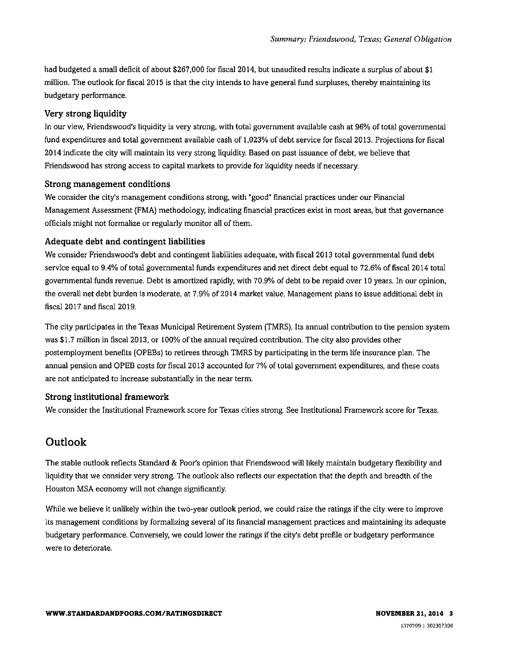had budgeted a small deficit of about \$267,000 for fiscal 2014, but unaudited results indicate a surplus of about \$1 million. The outlook for fiscal 2015 is that the city intends to have general fund surpluses, thereby maintaining its budgetary performance.

#### **Very strong liquidity**

In our view, Friendswood's liquidity is very strong, with total government available cash at 96% of total governmental fund expenditures and total government available cash of 1,023% of debt service for fiscal 2013. Projections for fiscal 2014 indicate the city will maintain its very strong liquidity. Based on past issuance of debt, we believe that Friendswood has strong access to capital markets to provide for liquidity needs if necessary.

#### **Strong management conditions**

We consider the city's management conditions strong, with "good" financial practices under our Financial Management Assessment (FMA) methodology, indicating financial practices exist in most areas, but that governance officials might not formalize or regularly monitor all of them.

#### **Adequate debt and contingent liabilities**

We consider Friendswood's debt and contingent liabilities adequate, with fiscal 2013 total governmental fund debt service equal to 9.4% of total governmental funds expenditures and net direct debt equal to 72.6% of fiscal 2014 total governmental funds revenue. Debt is amortized rapidly, with 70.9% of debt to be repaid over 10 years. In our opinion, the overall net debt burden is moderate, at 7.9% of 2014 market value. Management plans to issue additional debt in fiscal 2017 and fiscal 2019.

The city participates in the Texas Municipal Retirement System (TMRS). Its annual contribution to the pension system was \$1.7 million in fiscal 2013, or 100% of the annual required contribution. The city also provides other postemployrnent benefits (OPEBs) to retirees through TMRS by participating in the term life insurance plan. The annual pension and OPEB costs for fiscal 2013 accounted for 7% of total government expenditures, and these costs are not anticipated to increase substantially in the near term.

#### **Strong institutional framework**

We consider the Institutional Framework score for Texas cities strong. See Institutional Framework score for Texas.

## **Outloo k**

The stable outlook reflects Standard & Poor's opinion that Friendswood will likely maintain budgetary flexibility and liquidity that we consider very strong. The outlook also reflects our expectation that the depth and breadth of the Houston MSA economy will not change significantly.

While we believe it unlikely within the two-year outlook period, we could raise the ratings if the city were to improve its management conditions by formalizing several of its financial management practices and maintaining its adequate budgetary performance. Conversely, we could lower the ratings if the city's debt profile or budgetary performance were to deteriorate.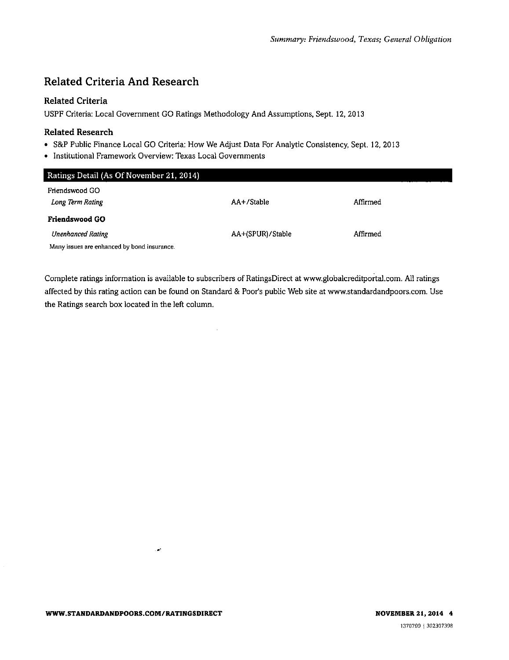# **Related Criteria And Research**

#### **Related Criteria**

USPF Criteria: Local Government GO Ratings Methodology And Assumptions, Sept. 12, 2013

# **Related Research**

- S&P Public Finance Local GO Criteria: How We Adjust Data For Analytic Consistency, Sept. 12, 2013
- Institutional Framework Overview: Texas Local Governments

| Ratings Detail (As Of November 21, 2014)    |                  |          |
|---------------------------------------------|------------------|----------|
| Friendswood GO                              |                  |          |
| Long Term Rating                            | AA+/Stable       | Affirmed |
| Friendswood GO                              |                  |          |
| <b>Unenhanced Rating</b>                    | AA+(SPUR)/Stable | Affirmed |
| Many issues are enhanced by bond insurance. |                  |          |

Complete ratings information is available to subscribers of RatingsDirect at [www.globalcreditportal.com.](http://www.globalcreditportal.com) All ratings affected by this rating action can be found on Standard & Poor's public Web site at [www.standardandpoors.com.](http://www.standardandpoors.com) Use the Ratings search box located in the left column.

 $\bar{z}$